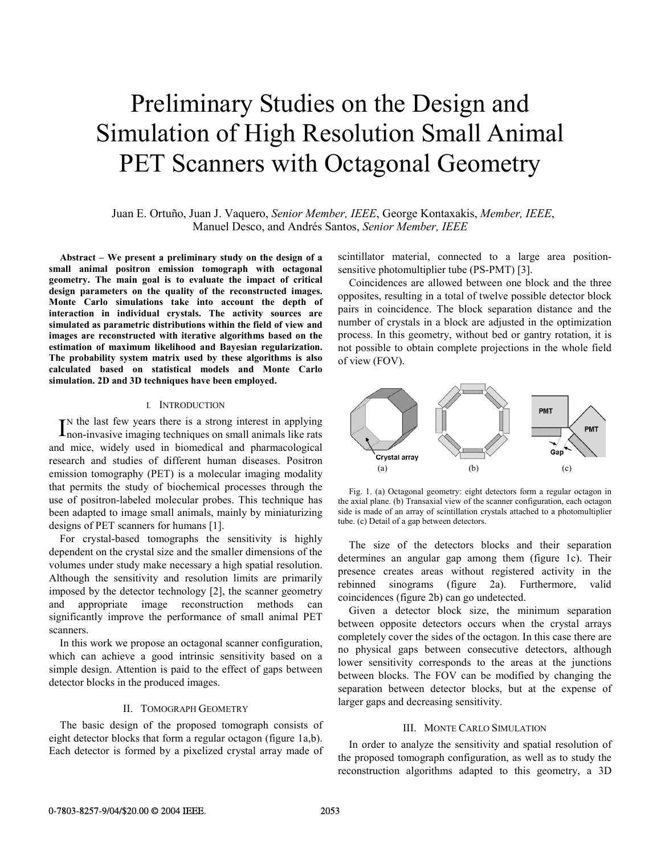# Preliminary Studies on the Design and Simulation of High Resolution Small Animal PET Scanners with Octagonal Geometry

 Juan E. Ortuño, Juan J. Vaquero, *Senior Member, IEEE*, George Kontaxakis, *Member, IEEE*, Manuel Desco, and Andrés Santos, *Senior Member, IEEE*

**Abstract – We present a preliminary study on the design of a small animal positron emission tomograph with octagonal geometry. The main goal is to evaluate the impact of critical design parameters on the quality of the reconstructed images. Monte Carlo simulations take into account the depth of interaction in individual crystals. The activity sources are simulated as parametric distributions within the field of view and images are reconstructed with iterative algorithms based on the estimation of maximum likelihood and Bayesian regularization. The probability system matrix used by these algorithms is also calculated based on statistical models and Monte Carlo simulation. 2D and 3D techniques have been employed.** 

# I. INTRODUCTION

N the last few years there is a strong interest in applying  $\Gamma_{\text{non-invasive imaging techniques on small animals like rats}}$ and mice, widely used in biomedical and pharmacological research and studies of different human diseases. Positron emission tomography (PET) is a molecular imaging modality that permits the study of biochemical processes through the use of positron-labeled molecular probes. This technique has been adapted to image small animals, mainly by miniaturizing designs of PET scanners for humans [1].

For crystal-based tomographs the sensitivity is highly dependent on the crystal size and the smaller dimensions of the volumes under study make necessary a high spatial resolution. Although the sensitivity and resolution limits are primarily imposed by the detector technology [2], the scanner geometry and appropriate image reconstruction methods can significantly improve the performance of small animal PET scanners.

In this work we propose an octagonal scanner configuration, which can achieve a good intrinsic sensitivity based on a simple design. Attention is paid to the effect of gaps between detector blocks in the produced images.

## II. TOMOGRAPH GEOMETRY

The basic design of the proposed tomograph consists of eight detector blocks that form a regular octagon (figure 1a,b). Each detector is formed by a pixelized crystal array made of scintillator material, connected to a large area positionsensitive photomultiplier tube (PS-PMT) [3].

Coincidences are allowed between one block and the three opposites, resulting in a total of twelve possible detector block pairs in coincidence. The block separation distance and the number of crystals in a block are adjusted in the optimization process. In this geometry, without bed or gantry rotation, it is not possible to obtain complete projections in the whole field of view (FOV).



Fig. 1. (a) Octagonal geometry: eight detectors form a regular octagon in the axial plane. (b) Transaxial view of the scanner configuration, each octagon side is made of an array of scintillation crystals attached to a photomultiplier tube. (c) Detail of a gap between detectors.

The size of the detectors blocks and their separation determines an angular gap among them (figure 1c). Their presence creates areas without registered activity in the rebinned sinograms (figure 2a). Furthermore, valid coincidences (figure 2b) can go undetected.

Given a detector block size, the minimum separation between opposite detectors occurs when the crystal arrays completely cover the sides of the octagon. In this case there are no physical gaps between consecutive detectors, although lower sensitivity corresponds to the areas at the junctions between blocks. The FOV can be modified by changing the separation between detector blocks, but at the expense of larger gaps and decreasing sensitivity.

#### III. MONTE CARLO SIMULATION

In order to analyze the sensitivity and spatial resolution of the proposed tomograph configuration, as well as to study the reconstruction algorithms adapted to this geometry, a 3D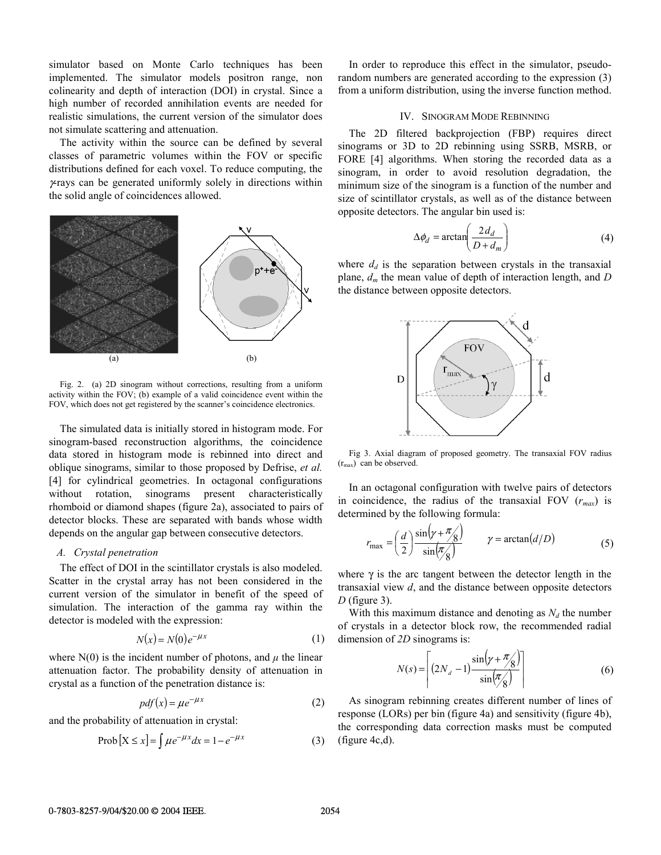simulator based on Monte Carlo techniques has been implemented. The simulator models positron range, non colinearity and depth of interaction (DOI) in crystal. Since a high number of recorded annihilation events are needed for realistic simulations, the current version of the simulator does not simulate scattering and attenuation.

The activity within the source can be defined by several classes of parametric volumes within the FOV or specific distributions defined for each voxel. To reduce computing, the  $\gamma$ -rays can be generated uniformly solely in directions within the solid angle of coincidences allowed.



Fig. 2. (a) 2D sinogram without corrections, resulting from a uniform activity within the FOV; (b) example of a valid coincidence event within the FOV, which does not get registered by the scanner's coincidence electronics.

The simulated data is initially stored in histogram mode. For sinogram-based reconstruction algorithms, the coincidence data stored in histogram mode is rebinned into direct and oblique sinograms, similar to those proposed by Defrise, *et al.* [4] for cylindrical geometries. In octagonal configurations without rotation, sinograms present characteristically rhomboid or diamond shapes (figure 2a), associated to pairs of detector blocks. These are separated with bands whose width depends on the angular gap between consecutive detectors.

# *A. Crystal penetration*

The effect of DOI in the scintillator crystals is also modeled. Scatter in the crystal array has not been considered in the current version of the simulator in benefit of the speed of simulation. The interaction of the gamma ray within the detector is modeled with the expression:

$$
N(x) = N(0)e^{-\mu x}
$$
 (1)

where  $N(0)$  is the incident number of photons, and  $\mu$  the linear attenuation factor. The probability density of attenuation in crystal as a function of the penetration distance is:

$$
pdf(x) = \mu e^{-\mu x}
$$
 (2)

and the probability of attenuation in crystal:

$$
Prob[X \le x] = \int \mu e^{-\mu x} dx = 1 - e^{-\mu x}
$$
 (3)

In order to reproduce this effect in the simulator, pseudorandom numbers are generated according to the expression (3) from a uniform distribution, using the inverse function method.

#### IV. SINOGRAM MODE REBINNING

The 2D filtered backprojection (FBP) requires direct sinograms or 3D to 2D rebinning using SSRB, MSRB, or FORE [4] algorithms. When storing the recorded data as a sinogram, in order to avoid resolution degradation, the minimum size of the sinogram is a function of the number and size of scintillator crystals, as well as of the distance between opposite detectors. The angular bin used is:

$$
\Delta \phi_d = \arctan\left(\frac{2d_d}{D + d_m}\right) \tag{4}
$$

where  $d_d$  is the separation between crystals in the transaxial plane, *dm* the mean value of depth of interaction length, and *D* the distance between opposite detectors.



Fig 3. Axial diagram of proposed geometry. The transaxial FOV radius  $(r<sub>max</sub>)$  can be observed.

In an octagonal configuration with twelve pairs of detectors in coincidence, the radius of the transaxial FOV (*rmax*) is determined by the following formula:

$$
r_{\max} = \left(\frac{d}{2}\right) \frac{\sin\left(\gamma + \frac{\pi}{8}\right)}{\sin\left(\frac{\pi}{8}\right)} \qquad \gamma = \arctan\left(\frac{d}{D}\right) \tag{5}
$$

where  $\gamma$  is the arc tangent between the detector length in the transaxial view *d*, and the distance between opposite detectors *D* (figure 3).

With this maximum distance and denoting as  $N_d$  the number of crystals in a detector block row, the recommended radial dimension of *2D* sinograms is:

$$
N(s) = \left[ (2N_d - 1) \frac{\sin(\gamma + \pi/8)}{\sin(\pi/8)} \right]
$$
 (6)

As sinogram rebinning creates different number of lines of response (LORs) per bin (figure 4a) and sensitivity (figure 4b), the corresponding data correction masks must be computed (figure 4c,d).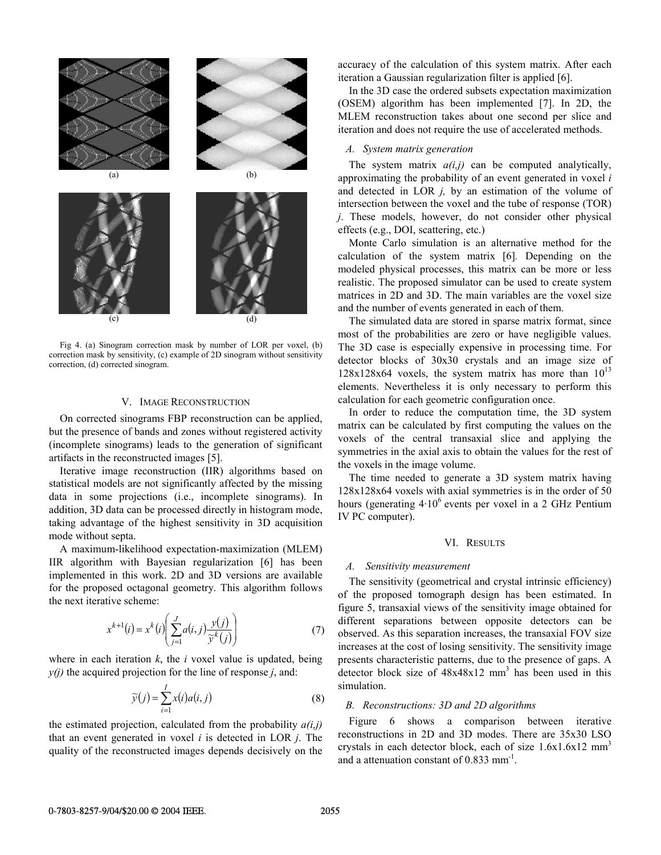

Fig 4. (a) Sinogram correction mask by number of LOR per voxel, (b) correction mask by sensitivity, (c) example of 2D sinogram without sensitivity correction, (d) corrected sinogram.

#### V. IMAGE RECONSTRUCTION

On corrected sinograms FBP reconstruction can be applied, but the presence of bands and zones without registered activity (incomplete sinograms) leads to the generation of significant artifacts in the reconstructed images [5].

Iterative image reconstruction (IIR) algorithms based on statistical models are not significantly affected by the missing data in some projections (i.e., incomplete sinograms). In addition, 3D data can be processed directly in histogram mode, taking advantage of the highest sensitivity in 3D acquisition mode without septa.

A maximum-likelihood expectation-maximization (MLEM) IIR algorithm with Bayesian regularization [6] has been implemented in this work. 2D and 3D versions are available for the proposed octagonal geometry. This algorithm follows the next iterative scheme:

$$
x^{k+1}(i) = x^k(i) \left( \sum_{j=1}^J a(i,j) \frac{y(j)}{\widetilde{y}^k(j)} \right) \tag{7}
$$

where in each iteration  $k$ , the  $i$  voxel value is updated, being  $y(i)$  the acquired projection for the line of response *j*, and:

$$
\widetilde{\mathbf{y}}(j) = \sum_{i=1}^{I} x(i)a(i,j) \tag{8}
$$

the estimated projection, calculated from the probability  $a(i,j)$ that an event generated in voxel *i* is detected in LOR *j*. The quality of the reconstructed images depends decisively on the accuracy of the calculation of this system matrix. After each iteration a Gaussian regularization filter is applied [6].

In the 3D case the ordered subsets expectation maximization (OSEM) algorithm has been implemented [7]. In 2D, the MLEM reconstruction takes about one second per slice and iteration and does not require the use of accelerated methods.

# *A. System matrix generation*

The system matrix  $a(i,j)$  can be computed analytically, approximating the probability of an event generated in voxel *i* and detected in LOR *j,* by an estimation of the volume of intersection between the voxel and the tube of response (TOR) *j*. These models, however, do not consider other physical effects (e.g., DOI, scattering, etc.)

Monte Carlo simulation is an alternative method for the calculation of the system matrix [6]*.* Depending on the modeled physical processes, this matrix can be more or less realistic. The proposed simulator can be used to create system matrices in 2D and 3D. The main variables are the voxel size and the number of events generated in each of them.

The simulated data are stored in sparse matrix format, since most of the probabilities are zero or have negligible values. The 3D case is especially expensive in processing time. For detector blocks of 30x30 crystals and an image size of  $128x128x64$  voxels, the system matrix has more than  $10^{13}$ elements. Nevertheless it is only necessary to perform this calculation for each geometric configuration once.

In order to reduce the computation time, the 3D system matrix can be calculated by first computing the values on the voxels of the central transaxial slice and applying the symmetries in the axial axis to obtain the values for the rest of the voxels in the image volume.

The time needed to generate a 3D system matrix having 128x128x64 voxels with axial symmetries is in the order of 50 hours (generating  $4.10^6$  events per voxel in a 2 GHz Pentium IV PC computer).

### VI. RESULTS

# *A. Sensitivity measurement*

The sensitivity (geometrical and crystal intrinsic efficiency) of the proposed tomograph design has been estimated. In figure 5, transaxial views of the sensitivity image obtained for different separations between opposite detectors can be observed. As this separation increases, the transaxial FOV size increases at the cost of losing sensitivity. The sensitivity image presents characteristic patterns, due to the presence of gaps. A detector block size of  $48x48x12$  mm<sup>3</sup> has been used in this simulation.

## *B. Reconstructions: 3D and 2D algorithms*

Figure 6 shows a comparison between iterative reconstructions in 2D and 3D modes. There are 35x30 LSO crystals in each detector block, each of size  $1.6x1.6x12$  mm<sup>3</sup> and a attenuation constant of  $0.833$  mm<sup>-1</sup>.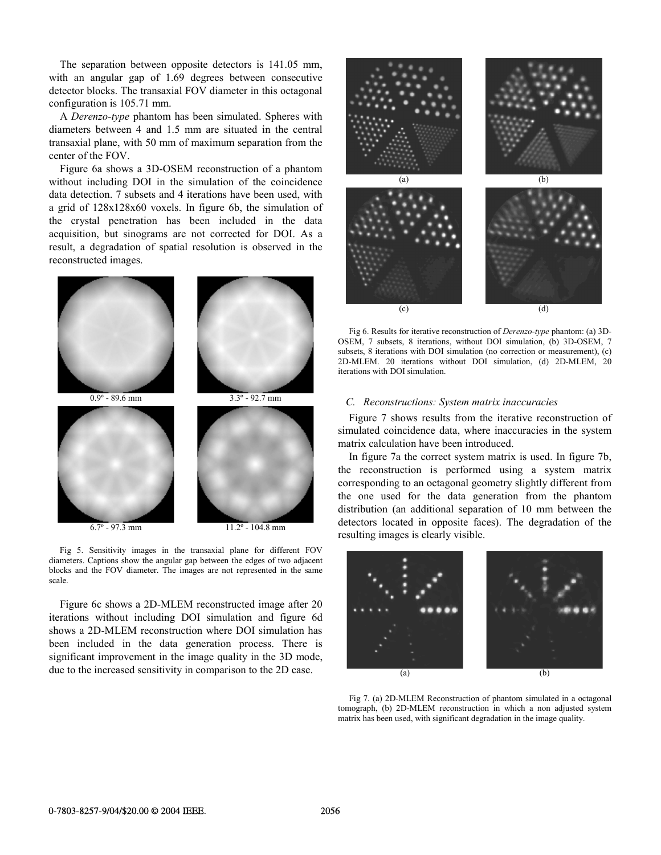The separation between opposite detectors is 141.05 mm, with an angular gap of 1.69 degrees between consecutive detector blocks. The transaxial FOV diameter in this octagonal configuration is 105.71 mm.

A *Derenzo-type* phantom has been simulated. Spheres with diameters between 4 and 1.5 mm are situated in the central transaxial plane, with 50 mm of maximum separation from the center of the FOV.

Figure 6a shows a 3D-OSEM reconstruction of a phantom without including DOI in the simulation of the coincidence data detection. 7 subsets and 4 iterations have been used, with a grid of 128x128x60 voxels. In figure 6b, the simulation of the crystal penetration has been included in the data acquisition, but sinograms are not corrected for DOI. As a result, a degradation of spatial resolution is observed in the reconstructed images.



Fig 5. Sensitivity images in the transaxial plane for different FOV diameters. Captions show the angular gap between the edges of two adjacent blocks and the FOV diameter. The images are not represented in the same scale.

Figure 6c shows a 2D-MLEM reconstructed image after 20 iterations without including DOI simulation and figure 6d shows a 2D-MLEM reconstruction where DOI simulation has been included in the data generation process. There is significant improvement in the image quality in the 3D mode, due to the increased sensitivity in comparison to the 2D case.



Fig 6. Results for iterative reconstruction of *Derenzo-type* phantom: (a) 3D-OSEM, 7 subsets, 8 iterations, without DOI simulation, (b) 3D-OSEM, 7 subsets, 8 iterations with DOI simulation (no correction or measurement), (c) 2D-MLEM. 20 iterations without DOI simulation, (d) 2D-MLEM, 20 iterations with DOI simulation.

# *C. Reconstructions: System matrix inaccuracies*

Figure 7 shows results from the iterative reconstruction of simulated coincidence data, where inaccuracies in the system matrix calculation have been introduced.

In figure 7a the correct system matrix is used. In figure 7b, the reconstruction is performed using a system matrix corresponding to an octagonal geometry slightly different from the one used for the data generation from the phantom distribution (an additional separation of 10 mm between the detectors located in opposite faces). The degradation of the resulting images is clearly visible.



Fig 7. (a) 2D-MLEM Reconstruction of phantom simulated in a octagonal tomograph, (b) 2D-MLEM reconstruction in which a non adjusted system matrix has been used, with significant degradation in the image quality.